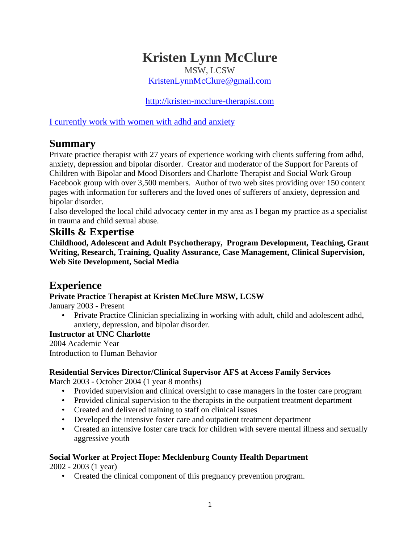# **Kristen Lynn McClure**

MSW, LCSW

[KristenLynnMcClure@gmail.com](mailto:KristenLynnMcClure@gmail.com)

[http://kristen-mcclure-therapist.com](http://kristen-mcclure-therapist.com/)

I currently work with women with adhd and anxiety

# **Summary**

Private practice therapist with 27 years of experience working with clients suffering from adhd, anxiety, depression and bipolar disorder. Creator and moderator of the Support for Parents of Children with Bipolar and Mood Disorders and Charlotte Therapist and Social Work Group Facebook group with over 3,500 members. Author of two web sites providing over 150 content pages with information for sufferers and the loved ones of sufferers of anxiety, depression and bipolar disorder.

I also developed the local child advocacy center in my area as I began my practice as a specialist in trauma and child sexual abuse.

### **Skills & Expertise**

**Childhood, Adolescent and Adult Psychotherapy, Program Development, Teaching, Grant Writing, Research, Training, Quality Assurance, Case Management, Clinical Supervision, Web Site Development, Social Media**

# **Experience**

#### **Private Practice Therapist at Kristen McClure MSW, LCSW**

January 2003 - Present

• Private Practice Clinician specializing in working with adult, child and adolescent adhd, anxiety, depression, and bipolar disorder.

#### **Instructor at UNC Charlotte**

2004 Academic Year Introduction to Human Behavior

#### **Residential Services Director/Clinical Supervisor AFS at Access Family Services**

March 2003 - October 2004 (1 year 8 months)

- Provided supervision and clinical oversight to case managers in the foster care program
- Provided clinical supervision to the therapists in the outpatient treatment department
- Created and delivered training to staff on clinical issues
- Developed the intensive foster care and outpatient treatment department
- Created an intensive foster care track for children with severe mental illness and sexually aggressive youth

#### **Social Worker at Project Hope: Mecklenburg County Health Department**

2002 - 2003 (1 year)

• Created the clinical component of this pregnancy prevention program.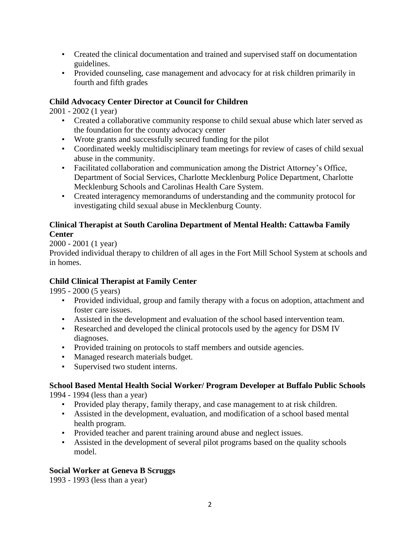- Created the clinical documentation and trained and supervised staff on documentation guidelines.
- Provided counseling, case management and advocacy for at risk children primarily in fourth and fifth grades

#### **Child Advocacy Center Director at Council for Children**

2001 - 2002 (1 year)

- Created a collaborative community response to child sexual abuse which later served as the foundation for the county advocacy center
- Wrote grants and successfully secured funding for the pilot
- Coordinated weekly multidisciplinary team meetings for review of cases of child sexual abuse in the community.
- Facilitated collaboration and communication among the District Attorney's Office, Department of Social Services, Charlotte Mecklenburg Police Department, Charlotte Mecklenburg Schools and Carolinas Health Care System.
- Created interagency memorandums of understanding and the community protocol for investigating child sexual abuse in Mecklenburg County.

#### **Clinical Therapist at South Carolina Department of Mental Health: Cattawba Family Center**

2000 - 2001 (1 year)

Provided individual therapy to children of all ages in the Fort Mill School System at schools and in homes.

#### **Child Clinical Therapist at Family Center**

1995 - 2000 (5 years)

- Provided individual, group and family therapy with a focus on adoption, attachment and foster care issues.
- Assisted in the development and evaluation of the school based intervention team.
- Researched and developed the clinical protocols used by the agency for DSM IV diagnoses.
- Provided training on protocols to staff members and outside agencies.
- Managed research materials budget.
- Supervised two student interns.

### **School Based Mental Health Social Worker/ Program Developer at Buffalo Public Schools**

1994 - 1994 (less than a year)

- Provided play therapy, family therapy, and case management to at risk children.
- Assisted in the development, evaluation, and modification of a school based mental health program.
- Provided teacher and parent training around abuse and neglect issues.
- Assisted in the development of several pilot programs based on the quality schools model.

#### **Social Worker at Geneva B Scruggs**

1993 - 1993 (less than a year)